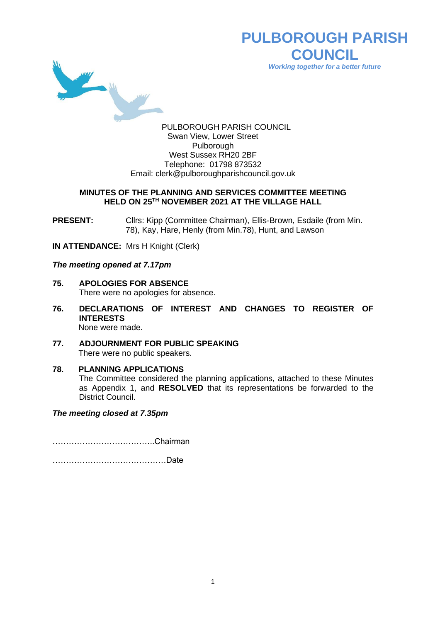

**PULBOROUGH PARISH COUNCIL** *Working together for a better future*

PULBOROUGH PARISH COUNCIL Swan View, Lower Street Pulborough West Sussex RH20 2BF Telephone: 01798 873532 Email: [clerk@pulboroughparishcouncil.gov.uk](mailto:clerk@pulboroughparishcouncil.gov.uk)

#### **MINUTES OF THE PLANNING AND SERVICES COMMITTEE MEETING HELD ON 25TH NOVEMBER 2021 AT THE VILLAGE HALL**

**PRESENT:** Clirs: Kipp (Committee Chairman), Ellis-Brown, Esdaile (from Min. 78), Kay, Hare, Henly (from Min.78), Hunt, and Lawson

**IN ATTENDANCE:** Mrs H Knight (Clerk)

*The meeting opened at 7.17pm*

- **75. APOLOGIES FOR ABSENCE** There were no apologies for absence.
- **76. DECLARATIONS OF INTEREST AND CHANGES TO REGISTER OF INTERESTS** None were made.
- **77. ADJOURNMENT FOR PUBLIC SPEAKING** There were no public speakers.
- **78. PLANNING APPLICATIONS** The Committee considered the planning applications, attached to these Minutes as Appendix 1, and **RESOLVED** that its representations be forwarded to the District Council.

*The meeting closed at 7.35pm*

………………………………..Chairman

……………………………………Date